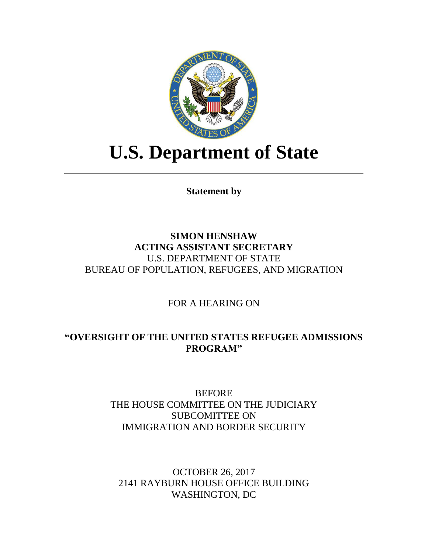

# **U.S. Department of State**

**Statement by**

# **SIMON HENSHAW ACTING ASSISTANT SECRETARY** U.S. DEPARTMENT OF STATE BUREAU OF POPULATION, REFUGEES, AND MIGRATION

FOR A HEARING ON

# **"OVERSIGHT OF THE UNITED STATES REFUGEE ADMISSIONS PROGRAM"**

BEFORE THE HOUSE COMMITTEE ON THE JUDICIARY SUBCOMITTEE ON IMMIGRATION AND BORDER SECURITY

OCTOBER 26, 2017 2141 RAYBURN HOUSE OFFICE BUILDING WASHINGTON, DC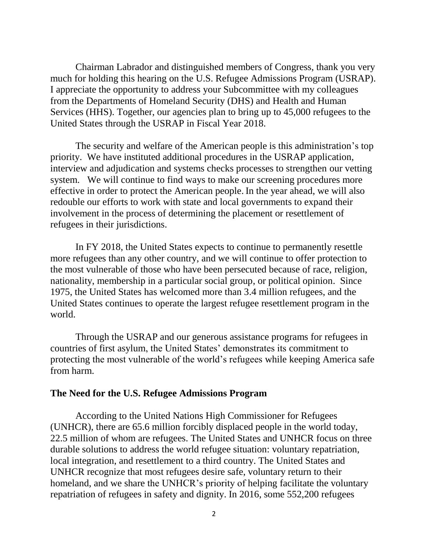Chairman Labrador and distinguished members of Congress, thank you very much for holding this hearing on the U.S. Refugee Admissions Program (USRAP). I appreciate the opportunity to address your Subcommittee with my colleagues from the Departments of Homeland Security (DHS) and Health and Human Services (HHS). Together, our agencies plan to bring up to 45,000 refugees to the United States through the USRAP in Fiscal Year 2018.

The security and welfare of the American people is this administration's top priority. We have instituted additional procedures in the USRAP application, interview and adjudication and systems checks processes to strengthen our vetting system. We will continue to find ways to make our screening procedures more effective in order to protect the American people. In the year ahead, we will also redouble our efforts to work with state and local governments to expand their involvement in the process of determining the placement or resettlement of refugees in their jurisdictions.

In FY 2018, the United States expects to continue to permanently resettle more refugees than any other country, and we will continue to offer protection to the most vulnerable of those who have been persecuted because of race, religion, nationality, membership in a particular social group, or political opinion. Since 1975, the United States has welcomed more than 3.4 million refugees, and the United States continues to operate the largest refugee resettlement program in the world.

Through the USRAP and our generous assistance programs for refugees in countries of first asylum, the United States' demonstrates its commitment to protecting the most vulnerable of the world's refugees while keeping America safe from harm.

## **The Need for the U.S. Refugee Admissions Program**

According to the United Nations High Commissioner for Refugees (UNHCR), there are 65.6 million forcibly displaced people in the world today, 22.5 million of whom are refugees. The United States and UNHCR focus on three durable solutions to address the world refugee situation: voluntary repatriation, local integration, and resettlement to a third country. The United States and UNHCR recognize that most refugees desire safe, voluntary return to their homeland, and we share the UNHCR's priority of helping facilitate the voluntary repatriation of refugees in safety and dignity. In 2016, some 552,200 refugees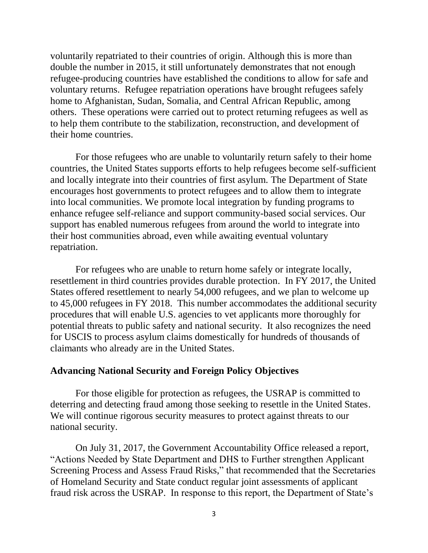voluntarily repatriated to their countries of origin. Although this is more than double the number in 2015, it still unfortunately demonstrates that not enough refugee-producing countries have established the conditions to allow for safe and voluntary returns. Refugee repatriation operations have brought refugees safely home to Afghanistan, Sudan, Somalia, and Central African Republic, among others. These operations were carried out to protect returning refugees as well as to help them contribute to the stabilization, reconstruction, and development of their home countries.

For those refugees who are unable to voluntarily return safely to their home countries, the United States supports efforts to help refugees become self-sufficient and locally integrate into their countries of first asylum. The Department of State encourages host governments to protect refugees and to allow them to integrate into local communities. We promote local integration by funding programs to enhance refugee self-reliance and support community-based social services. Our support has enabled numerous refugees from around the world to integrate into their host communities abroad, even while awaiting eventual voluntary repatriation.

For refugees who are unable to return home safely or integrate locally, resettlement in third countries provides durable protection. In FY 2017, the United States offered resettlement to nearly 54,000 refugees, and we plan to welcome up to 45,000 refugees in FY 2018. This number accommodates the additional security procedures that will enable U.S. agencies to vet applicants more thoroughly for potential threats to public safety and national security. It also recognizes the need for USCIS to process asylum claims domestically for hundreds of thousands of claimants who already are in the United States.

#### **Advancing National Security and Foreign Policy Objectives**

For those eligible for protection as refugees, the USRAP is committed to deterring and detecting fraud among those seeking to resettle in the United States. We will continue rigorous security measures to protect against threats to our national security.

On July 31, 2017, the Government Accountability Office released a report, "Actions Needed by State Department and DHS to Further strengthen Applicant Screening Process and Assess Fraud Risks," that recommended that the Secretaries of Homeland Security and State conduct regular joint assessments of applicant fraud risk across the USRAP. In response to this report, the Department of State's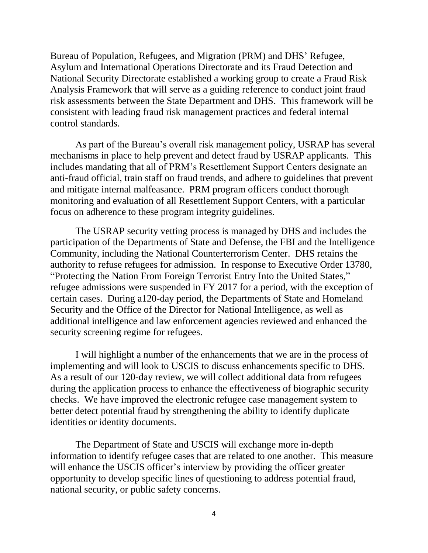Bureau of Population, Refugees, and Migration (PRM) and DHS' Refugee, Asylum and International Operations Directorate and its Fraud Detection and National Security Directorate established a working group to create a Fraud Risk Analysis Framework that will serve as a guiding reference to conduct joint fraud risk assessments between the State Department and DHS. This framework will be consistent with leading fraud risk management practices and federal internal control standards.

As part of the Bureau's overall risk management policy, USRAP has several mechanisms in place to help prevent and detect fraud by USRAP applicants. This includes mandating that all of PRM's Resettlement Support Centers designate an anti-fraud official, train staff on fraud trends, and adhere to guidelines that prevent and mitigate internal malfeasance. PRM program officers conduct thorough monitoring and evaluation of all Resettlement Support Centers, with a particular focus on adherence to these program integrity guidelines.

The USRAP security vetting process is managed by DHS and includes the participation of the Departments of State and Defense, the FBI and the Intelligence Community, including the National Counterterrorism Center. DHS retains the authority to refuse refugees for admission. In response to Executive Order 13780, "Protecting the Nation From Foreign Terrorist Entry Into the United States," refugee admissions were suspended in FY 2017 for a period, with the exception of certain cases. During a120-day period, the Departments of State and Homeland Security and the Office of the Director for National Intelligence, as well as additional intelligence and law enforcement agencies reviewed and enhanced the security screening regime for refugees.

I will highlight a number of the enhancements that we are in the process of implementing and will look to USCIS to discuss enhancements specific to DHS. As a result of our 120-day review, we will collect additional data from refugees during the application process to enhance the effectiveness of biographic security checks. We have improved the electronic refugee case management system to better detect potential fraud by strengthening the ability to identify duplicate identities or identity documents.

The Department of State and USCIS will exchange more in-depth information to identify refugee cases that are related to one another. This measure will enhance the USCIS officer's interview by providing the officer greater opportunity to develop specific lines of questioning to address potential fraud, national security, or public safety concerns.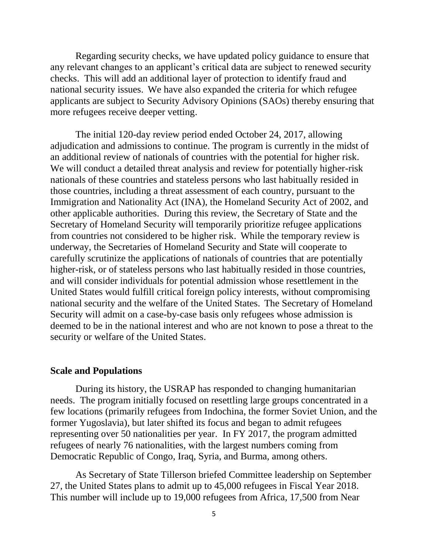Regarding security checks, we have updated policy guidance to ensure that any relevant changes to an applicant's critical data are subject to renewed security checks. This will add an additional layer of protection to identify fraud and national security issues. We have also expanded the criteria for which refugee applicants are subject to Security Advisory Opinions (SAOs) thereby ensuring that more refugees receive deeper vetting.

The initial 120-day review period ended October 24, 2017, allowing adjudication and admissions to continue. The program is currently in the midst of an additional review of nationals of countries with the potential for higher risk. We will conduct a detailed threat analysis and review for potentially higher-risk nationals of these countries and stateless persons who last habitually resided in those countries, including a threat assessment of each country, pursuant to the Immigration and Nationality Act (INA), the Homeland Security Act of 2002, and other applicable authorities. During this review, the Secretary of State and the Secretary of Homeland Security will temporarily prioritize refugee applications from countries not considered to be higher risk. While the temporary review is underway, the Secretaries of Homeland Security and State will cooperate to carefully scrutinize the applications of nationals of countries that are potentially higher-risk, or of stateless persons who last habitually resided in those countries, and will consider individuals for potential admission whose resettlement in the United States would fulfill critical foreign policy interests, without compromising national security and the welfare of the United States. The Secretary of Homeland Security will admit on a case-by-case basis only refugees whose admission is deemed to be in the national interest and who are not known to pose a threat to the security or welfare of the United States.

#### **Scale and Populations**

During its history, the USRAP has responded to changing humanitarian needs. The program initially focused on resettling large groups concentrated in a few locations (primarily refugees from Indochina, the former Soviet Union, and the former Yugoslavia), but later shifted its focus and began to admit refugees representing over 50 nationalities per year. In FY 2017, the program admitted refugees of nearly 76 nationalities, with the largest numbers coming from Democratic Republic of Congo, Iraq, Syria, and Burma, among others.

As Secretary of State Tillerson briefed Committee leadership on September 27, the United States plans to admit up to 45,000 refugees in Fiscal Year 2018. This number will include up to 19,000 refugees from Africa, 17,500 from Near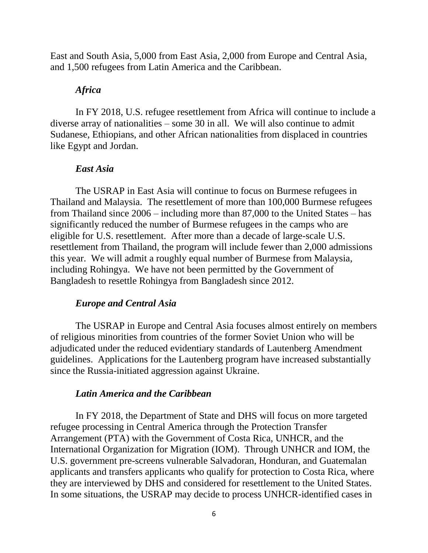East and South Asia, 5,000 from East Asia, 2,000 from Europe and Central Asia, and 1,500 refugees from Latin America and the Caribbean.

#### *Africa*

In FY 2018, U.S. refugee resettlement from Africa will continue to include a diverse array of nationalities – some 30 in all. We will also continue to admit Sudanese, Ethiopians, and other African nationalities from displaced in countries like Egypt and Jordan.

#### *East Asia*

The USRAP in East Asia will continue to focus on Burmese refugees in Thailand and Malaysia. The resettlement of more than 100,000 Burmese refugees from Thailand since 2006 – including more than 87,000 to the United States – has significantly reduced the number of Burmese refugees in the camps who are eligible for U.S. resettlement. After more than a decade of large-scale U.S. resettlement from Thailand, the program will include fewer than 2,000 admissions this year. We will admit a roughly equal number of Burmese from Malaysia, including Rohingya. We have not been permitted by the Government of Bangladesh to resettle Rohingya from Bangladesh since 2012.

#### *Europe and Central Asia*

The USRAP in Europe and Central Asia focuses almost entirely on members of religious minorities from countries of the former Soviet Union who will be adjudicated under the reduced evidentiary standards of Lautenberg Amendment guidelines. Applications for the Lautenberg program have increased substantially since the Russia-initiated aggression against Ukraine.

#### *Latin America and the Caribbean*

In FY 2018, the Department of State and DHS will focus on more targeted refugee processing in Central America through the Protection Transfer Arrangement (PTA) with the Government of Costa Rica, UNHCR, and the International Organization for Migration (IOM). Through UNHCR and IOM, the U.S. government pre-screens vulnerable Salvadoran, Honduran, and Guatemalan applicants and transfers applicants who qualify for protection to Costa Rica, where they are interviewed by DHS and considered for resettlement to the United States. In some situations, the USRAP may decide to process UNHCR-identified cases in